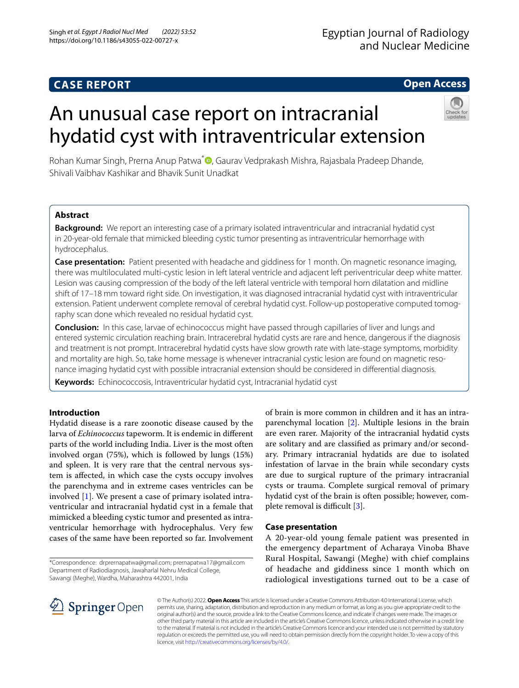# **CASE REPORT**

## **Open Access**

# An unusual case report on intracranial hydatid cyst with intraventricular extension



Rohan Kumar Singh[,](http://orcid.org/0000-0003-4214-1007) Prerna Anup Patwa<sup>\*</sup> , Gaurav Vedprakash Mishra, Rajasbala Pradeep Dhande, Shivali Vaibhav Kashikar and Bhavik Sunit Unadkat

## **Abstract**

**Background:** We report an interesting case of a primary isolated intraventricular and intracranial hydatid cyst in 20-year-old female that mimicked bleeding cystic tumor presenting as intraventricular hemorrhage with hydrocephalus.

**Case presentation:** Patient presented with headache and giddiness for 1 month. On magnetic resonance imaging, there was multiloculated multi-cystic lesion in left lateral ventricle and adjacent left periventricular deep white matter. Lesion was causing compression of the body of the left lateral ventricle with temporal horn dilatation and midline shift of 17–18 mm toward right side. On investigation, it was diagnosed intracranial hydatid cyst with intraventricular extension. Patient underwent complete removal of cerebral hydatid cyst. Follow-up postoperative computed tomography scan done which revealed no residual hydatid cyst.

**Conclusion:** In this case, larvae of echinococcus might have passed through capillaries of liver and lungs and entered systemic circulation reaching brain. Intracerebral hydatid cysts are rare and hence, dangerous if the diagnosis and treatment is not prompt. Intracerebral hydatid cysts have slow growth rate with late-stage symptoms, morbidity and mortality are high. So, take home message is whenever intracranial cystic lesion are found on magnetic resonance imaging hydatid cyst with possible intracranial extension should be considered in diferential diagnosis.

**Keywords:** Echinococcosis, Intraventricular hydatid cyst, Intracranial hydatid cyst

## **Introduction**

Hydatid disease is a rare zoonotic disease caused by the larva of *Echinococcus* tapeworm. It is endemic in diferent parts of the world including India. Liver is the most often involved organ (75%), which is followed by lungs (15%) and spleen. It is very rare that the central nervous system is afected, in which case the cysts occupy involves the parenchyma and in extreme cases ventricles can be involved [\[1](#page-3-0)]. We present a case of primary isolated intraventricular and intracranial hydatid cyst in a female that mimicked a bleeding cystic tumor and presented as intraventricular hemorrhage with hydrocephalus. Very few cases of the same have been reported so far. Involvement

\*Correspondence: drprernapatwa@gmail.com; prernapatwa17@gmail.com Department of Radiodiagnosis, Jawaharlal Nehru Medical College, Sawangi (Meghe), Wardha, Maharashtra 442001, India

of brain is more common in children and it has an intraparenchymal location [\[2](#page-3-1)]. Multiple lesions in the brain are even rarer. Majority of the intracranial hydatid cysts are solitary and are classifed as primary and/or secondary. Primary intracranial hydatids are due to isolated infestation of larvae in the brain while secondary cysts are due to surgical rupture of the primary intracranial cysts or trauma. Complete surgical removal of primary hydatid cyst of the brain is often possible; however, complete removal is difficult  $[3]$  $[3]$ .

## **Case presentation**

A 20-year-old young female patient was presented in the emergency department of Acharaya Vinoba Bhave Rural Hospital, Sawangi (Meghe) with chief complains of headache and giddiness since 1 month which on radiological investigations turned out to be a case of



© The Author(s) 2022. **Open Access** This article is licensed under a Creative Commons Attribution 4.0 International License, which permits use, sharing, adaptation, distribution and reproduction in any medium or format, as long as you give appropriate credit to the original author(s) and the source, provide a link to the Creative Commons licence, and indicate if changes were made. The images or other third party material in this article are included in the article's Creative Commons licence, unless indicated otherwise in a credit line to the material. If material is not included in the article's Creative Commons licence and your intended use is not permitted by statutory regulation or exceeds the permitted use, you will need to obtain permission directly from the copyright holder. To view a copy of this licence, visit [http://creativecommons.org/licenses/by/4.0/.](http://creativecommons.org/licenses/by/4.0/)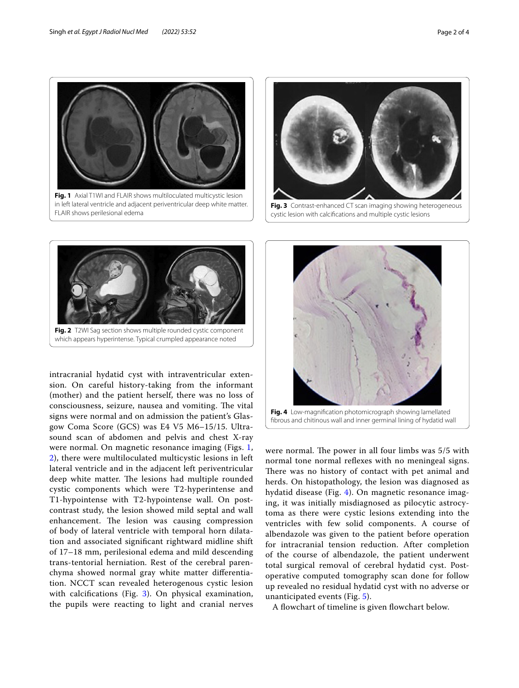

<span id="page-1-0"></span>in left lateral ventricle and adjacent periventricular deep white matter. FLAIR shows perilesional edema



<span id="page-1-2"></span>cystic lesion with calcifcations and multiple cystic lesions



<span id="page-1-1"></span>intracranial hydatid cyst with intraventricular extension. On careful history-taking from the informant (mother) and the patient herself, there was no loss of consciousness, seizure, nausea and vomiting. The vital signs were normal and on admission the patient's Glasgow Coma Score (GCS) was E4 V5 M6–15/15. Ultrasound scan of abdomen and pelvis and chest X-ray were normal. On magnetic resonance imaging (Figs. [1](#page-1-0), [2\)](#page-1-1), there were multiloculated multicystic lesions in left lateral ventricle and in the adjacent left periventricular deep white matter. The lesions had multiple rounded cystic components which were T2-hyperintense and T1-hypointense with T2-hypointense wall. On postcontrast study, the lesion showed mild septal and wall enhancement. The lesion was causing compression of body of lateral ventricle with temporal horn dilatation and associated signifcant rightward midline shift of 17–18 mm, perilesional edema and mild descending trans-tentorial herniation. Rest of the cerebral parenchyma showed normal gray white matter diferentiation. NCCT scan revealed heterogenous cystic lesion with calcifications (Fig. [3](#page-1-2)). On physical examination, the pupils were reacting to light and cranial nerves



<span id="page-1-3"></span>were normal. The power in all four limbs was 5/5 with normal tone normal refexes with no meningeal signs. There was no history of contact with pet animal and herds. On histopathology, the lesion was diagnosed as hydatid disease (Fig. [4](#page-1-3)). On magnetic resonance imaging, it was initially misdiagnosed as pilocytic astrocytoma as there were cystic lesions extending into the ventricles with few solid components. A course of albendazole was given to the patient before operation for intracranial tension reduction. After completion of the course of albendazole, the patient underwent total surgical removal of cerebral hydatid cyst. Postoperative computed tomography scan done for follow up revealed no residual hydatid cyst with no adverse or unanticipated events (Fig. [5\)](#page-2-0).

A fowchart of timeline is given fowchart below.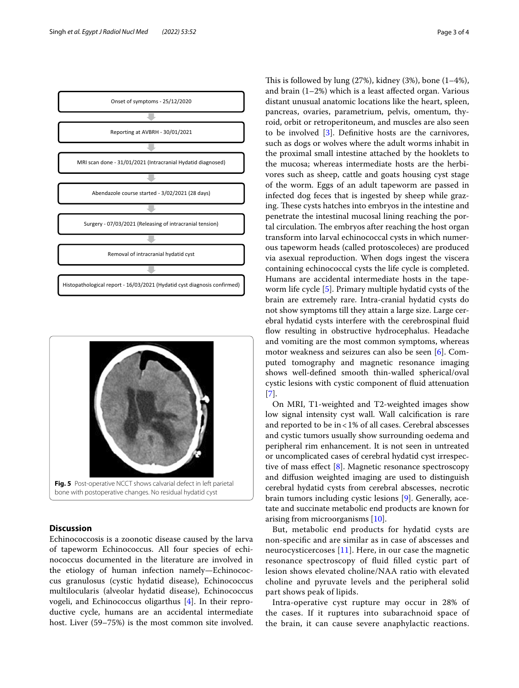



## <span id="page-2-0"></span>**Discussion**

Echinococcosis is a zoonotic disease caused by the larva of tapeworm Echinococcus. All four species of echinococcus documented in the literature are involved in the etiology of human infection namely—Echinococcus granulosus (cystic hydatid disease), Echinococcus multilocularis (alveolar hydatid disease), Echinococcus vogeli, and Echinococcus oligarthus [\[4](#page-3-3)]. In their reproductive cycle, humans are an accidental intermediate host. Liver (59–75%) is the most common site involved. This is followed by lung  $(27%)$ , kidney  $(3%)$ , bone  $(1-4%)$ , and brain (1–2%) which is a least afected organ. Various distant unusual anatomic locations like the heart, spleen, pancreas, ovaries, parametrium, pelvis, omentum, thyroid, orbit or retroperitoneum, and muscles are also seen to be involved [[3\]](#page-3-2). Defnitive hosts are the carnivores, such as dogs or wolves where the adult worms inhabit in the proximal small intestine attached by the hooklets to the mucosa; whereas intermediate hosts are the herbivores such as sheep, cattle and goats housing cyst stage of the worm. Eggs of an adult tapeworm are passed in infected dog feces that is ingested by sheep while grazing. These cysts hatches into embryos in the intestine and penetrate the intestinal mucosal lining reaching the portal circulation. The embryos after reaching the host organ transform into larval echinococcal cysts in which numerous tapeworm heads (called protoscoleces) are produced via asexual reproduction. When dogs ingest the viscera containing echinococcal cysts the life cycle is completed. Humans are accidental intermediate hosts in the tapeworm life cycle [\[5\]](#page-3-4). Primary multiple hydatid cysts of the brain are extremely rare. Intra-cranial hydatid cysts do not show symptoms till they attain a large size. Large cerebral hydatid cysts interfere with the cerebrospinal fuid flow resulting in obstructive hydrocephalus. Headache and vomiting are the most common symptoms, whereas motor weakness and seizures can also be seen [[6\]](#page-3-5). Computed tomography and magnetic resonance imaging shows well-defned smooth thin-walled spherical/oval cystic lesions with cystic component of fuid attenuation [[7\]](#page-3-6).

On MRI, T1-weighted and T2-weighted images show low signal intensity cyst wall. Wall calcifcation is rare and reported to be in<1% of all cases. Cerebral abscesses and cystic tumors usually show surrounding oedema and peripheral rim enhancement. It is not seen in untreated or uncomplicated cases of cerebral hydatid cyst irrespective of mass effect  $[8]$  $[8]$ . Magnetic resonance spectroscopy and difusion weighted imaging are used to distinguish cerebral hydatid cysts from cerebral abscesses, necrotic brain tumors including cystic lesions [[9\]](#page-3-8). Generally, acetate and succinate metabolic end products are known for arising from microorganisms [[10\]](#page-3-9).

But, metabolic end products for hydatid cysts are non-specifc and are similar as in case of abscesses and neurocysticercoses [[11\]](#page-3-10). Here, in our case the magnetic resonance spectroscopy of fuid flled cystic part of lesion shows elevated choline/NAA ratio with elevated choline and pyruvate levels and the peripheral solid part shows peak of lipids.

Intra-operative cyst rupture may occur in 28% of the cases. If it ruptures into subarachnoid space of the brain, it can cause severe anaphylactic reactions.